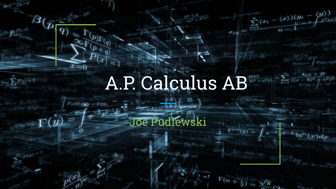# A.P. Calculus  $\text{AB}^{\frac{p(x)}{b)^2+c^2/n}-\sum\limits_{k=1}^n\frac{A_k}{((x-a)^2+r^2)^2}}$

 $\sum_{i=1}^{n} (x_i - \langle x \rangle) (y_i - \langle y \rangle)$ 

 $e^{2\chi k}$ 

 $(b)$ <sup>2</sup>

 $^{(x)}dx$ 

 $\sigma_{xy}$ 

 $\Gamma(n+\frac{1}{2})$  .

 $=\frac{\sqrt{\pi}}{2}$ 

#### Joe Pudlewski

 $\vec{y} = a x^{\frac{1}{2}}$ 

 $\varDelta$ 

 $\bm{q})$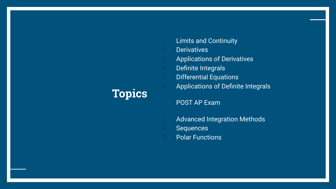#### **Topics**

- **Limits and Continuity**
- **Derivatives**
- Applications of Derivatives
- 4. Definite Integrals
- 5. Differential Equations
- 6. Applications of Definite Integrals

POST AP Exam

- Advanced Integration Methods
- **Sequences**
- **Polar Functions**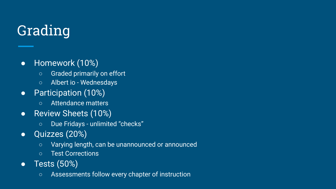## Grading

- Homework (10%)
	- Graded primarily on effort
	- Albert io Wednesdays
- Participation (10%)
	- Attendance matters
- Review Sheets (10%)
	- Due Fridays unlimited "checks"
- Quizzes (20%)
	- Varying length, can be unannounced or announced
	- Test Corrections
- Tests (50%)
	- Assessments follow every chapter of instruction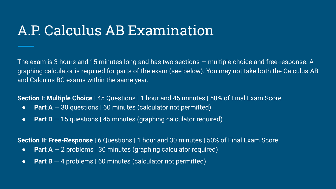#### A.P. Calculus AB Examination

The exam is 3 hours and 15 minutes long and has two sections — multiple choice and free-response. A graphing calculator is required for parts of the exam (see below). You may not take both the Calculus AB and Calculus BC exams within the same year.

**Section I: Multiple Choice** | 45 Questions | 1 hour and 45 minutes | 50% of Final Exam Score

- **Part A** 30 questions | 60 minutes (calculator not permitted)
- **Part B** − 15 questions | 45 minutes (graphing calculator required)

**Section II: Free-Response** | 6 Questions | 1 hour and 30 minutes | 50% of Final Exam Score

- **Part A**  $-$  2 problems | 30 minutes (graphing calculator required)
- **Part B** 4 problems | 60 minutes (calculator not permitted)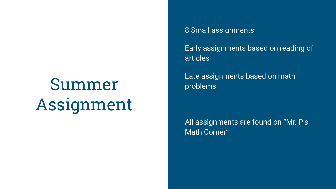## Summer Assignment

8 Small assignments Early assignments based on reading of articles

Late assignments based on math problems

All assignments are found on "Mr. P's Math Corner"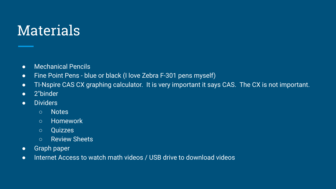### **Materials**

- Mechanical Pencils
- Fine Point Pens blue or black (I love Zebra F-301 pens myself)
- TI-Nspire CAS CX graphing calculator. It is very important it says CAS. The CX is not important.
- 2"binder
- **•** Dividers
	- Notes
	- Homework
	- Quizzes
	- Review Sheets
- Graph paper
- Internet Access to watch math videos / USB drive to download videos